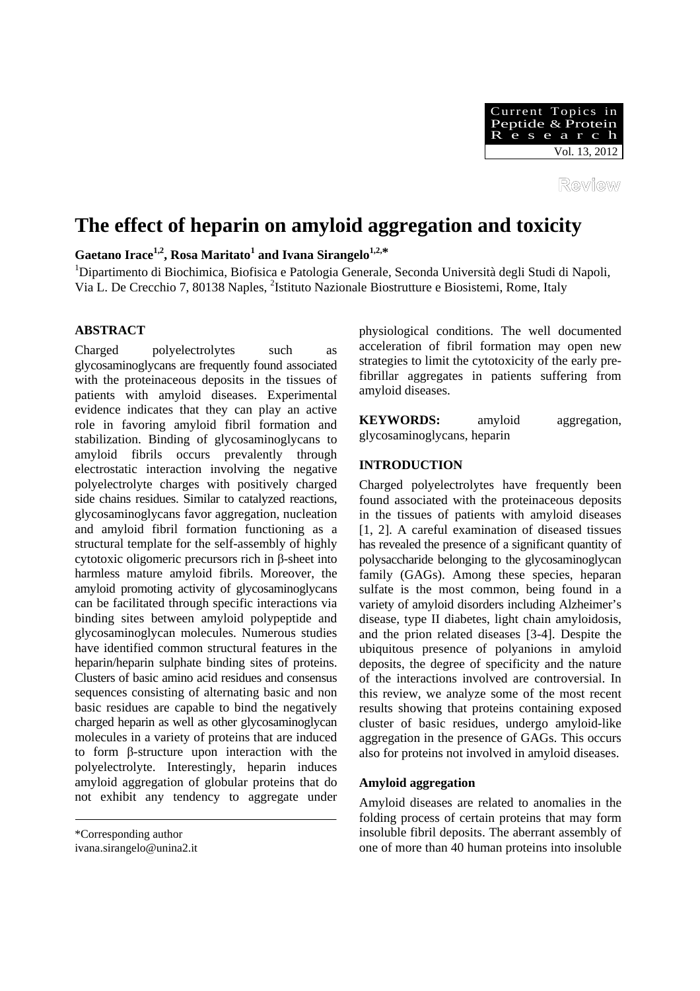

Review

# **The effect of heparin on amyloid aggregation and toxicity**

 $G$ aetano Irace<sup>1,2</sup>, Rosa Maritato<sup>1</sup> and Ivana Sirangelo<sup>1,2,\*</sup>

<sup>1</sup>Dipartimento di Biochimica, Biofisica e Patologia Generale, Seconda Università degli Studi di Napoli, Via L. De Crecchio 7, 80138 Naples, <sup>2</sup>Istituto Nazionale Biostrutture e Biosistemi, Rome, Italy

# **ABSTRACT**

Charged polyelectrolytes such as glycosaminoglycans are frequently found associated with the proteinaceous deposits in the tissues of patients with amyloid diseases. Experimental evidence indicates that they can play an active role in favoring amyloid fibril formation and stabilization. Binding of glycosaminoglycans to amyloid fibrils occurs prevalently through electrostatic interaction involving the negative polyelectrolyte charges with positively charged side chains residues. Similar to catalyzed reactions, glycosaminoglycans favor aggregation, nucleation and amyloid fibril formation functioning as a structural template for the self-assembly of highly cytotoxic oligomeric precursors rich in β-sheet into harmless mature amyloid fibrils. Moreover, the amyloid promoting activity of glycosaminoglycans can be facilitated through specific interactions via binding sites between amyloid polypeptide and glycosaminoglycan molecules. Numerous studies have identified common structural features in the heparin/heparin sulphate binding sites of proteins. Clusters of basic amino acid residues and consensus sequences consisting of alternating basic and non basic residues are capable to bind the negatively charged heparin as well as other glycosaminoglycan molecules in a variety of proteins that are induced to form β-structure upon interaction with the polyelectrolyte. Interestingly, heparin induces amyloid aggregation of globular proteins that do not exhibit any tendency to aggregate under

physiological conditions. The well documented acceleration of fibril formation may open new strategies to limit the cytotoxicity of the early prefibrillar aggregates in patients suffering from amyloid diseases.

**KEYWORDS:** amyloid aggregation, glycosaminoglycans, heparin

# **INTRODUCTION**

Charged polyelectrolytes have frequently been found associated with the proteinaceous deposits in the tissues of patients with amyloid diseases [1, 2]. A careful examination of diseased tissues has revealed the presence of a significant quantity of polysaccharide belonging to the glycosaminoglycan family (GAGs). Among these species, heparan sulfate is the most common, being found in a variety of amyloid disorders including Alzheimer's disease, type II diabetes, light chain amyloidosis, and the prion related diseases [3-4]. Despite the ubiquitous presence of polyanions in amyloid deposits, the degree of specificity and the nature of the interactions involved are controversial. In this review, we analyze some of the most recent results showing that proteins containing exposed cluster of basic residues, undergo amyloid-like aggregation in the presence of GAGs. This occurs also for proteins not involved in amyloid diseases.

# **Amyloid aggregation**

Amyloid diseases are related to anomalies in the folding process of certain proteins that may form insoluble fibril deposits. The aberrant assembly of one of more than 40 human proteins into insoluble

<sup>\*</sup>Corresponding author

ivana.sirangelo@unina2.it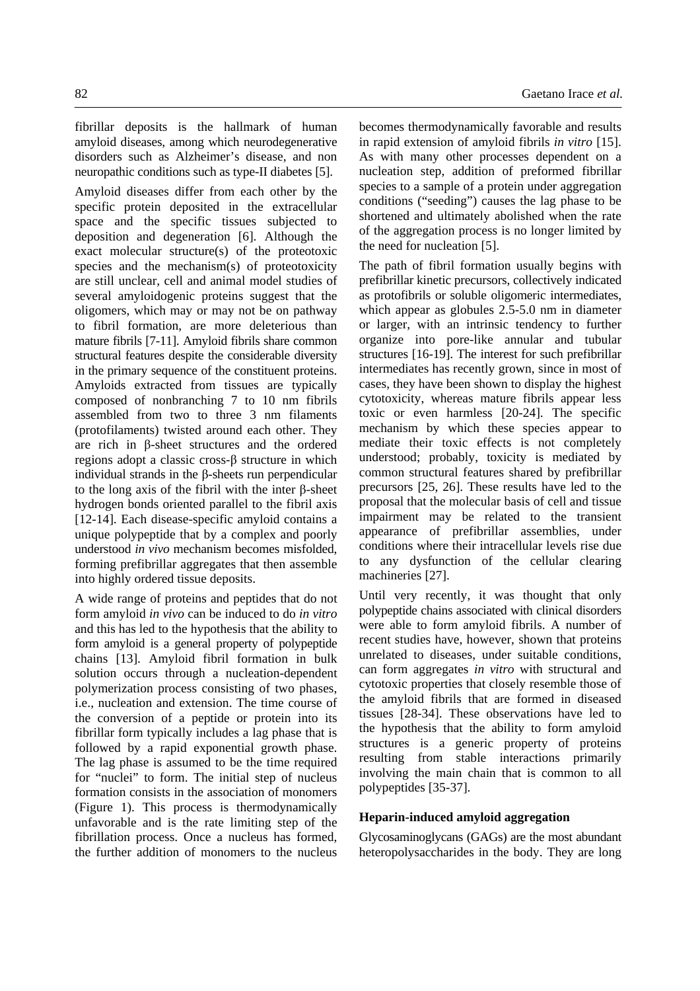fibrillar deposits is the hallmark of human amyloid diseases, among which neurodegenerative disorders such as Alzheimer's disease, and non neuropathic conditions such as type-II diabetes [5].

Amyloid diseases differ from each other by the specific protein deposited in the extracellular space and the specific tissues subjected to deposition and degeneration [6]. Although the exact molecular structure(s) of the proteotoxic species and the mechanism(s) of proteotoxicity are still unclear, cell and animal model studies of several amyloidogenic proteins suggest that the oligomers, which may or may not be on pathway to fibril formation, are more deleterious than mature fibrils [7-11]. Amyloid fibrils share common structural features despite the considerable diversity in the primary sequence of the constituent proteins. Amyloids extracted from tissues are typically composed of nonbranching 7 to 10 nm fibrils assembled from two to three 3 nm filaments (protofilaments) twisted around each other. They are rich in β-sheet structures and the ordered regions adopt a classic cross-β structure in which individual strands in the β-sheets run perpendicular to the long axis of the fibril with the inter β-sheet hydrogen bonds oriented parallel to the fibril axis [12-14]. Each disease-specific amyloid contains a unique polypeptide that by a complex and poorly understood *in vivo* mechanism becomes misfolded, forming prefibrillar aggregates that then assemble into highly ordered tissue deposits.

A wide range of proteins and peptides that do not form amyloid *in vivo* can be induced to do *in vitro* and this has led to the hypothesis that the ability to form amyloid is a general property of polypeptide chains [13]. Amyloid fibril formation in bulk solution occurs through a nucleation-dependent polymerization process consisting of two phases, i.e., nucleation and extension. The time course of the conversion of a peptide or protein into its fibrillar form typically includes a lag phase that is followed by a rapid exponential growth phase. The lag phase is assumed to be the time required for "nuclei" to form. The initial step of nucleus formation consists in the association of monomers (Figure 1). This process is thermodynamically unfavorable and is the rate limiting step of the fibrillation process. Once a nucleus has formed, the further addition of monomers to the nucleus becomes thermodynamically favorable and results in rapid extension of amyloid fibrils *in vitro* [15]. As with many other processes dependent on a nucleation step, addition of preformed fibrillar species to a sample of a protein under aggregation conditions ("seeding") causes the lag phase to be shortened and ultimately abolished when the rate of the aggregation process is no longer limited by the need for nucleation [5].

The path of fibril formation usually begins with prefibrillar kinetic precursors, collectively indicated as protofibrils or soluble oligomeric intermediates, which appear as globules 2.5-5.0 nm in diameter or larger, with an intrinsic tendency to further organize into pore-like annular and tubular structures [16-19]. The interest for such prefibrillar intermediates has recently grown, since in most of cases, they have been shown to display the highest cytotoxicity, whereas mature fibrils appear less toxic or even harmless [20-24]. The specific mechanism by which these species appear to mediate their toxic effects is not completely understood; probably, toxicity is mediated by common structural features shared by prefibrillar precursors [25, 26]. These results have led to the proposal that the molecular basis of cell and tissue impairment may be related to the transient appearance of prefibrillar assemblies, under conditions where their intracellular levels rise due to any dysfunction of the cellular clearing machineries [27].

Until very recently, it was thought that only polypeptide chains associated with clinical disorders were able to form amyloid fibrils. A number of recent studies have, however, shown that proteins unrelated to diseases, under suitable conditions, can form aggregates *in vitro* with structural and cytotoxic properties that closely resemble those of the amyloid fibrils that are formed in diseased tissues [28-34]. These observations have led to the hypothesis that the ability to form amyloid structures is a generic property of proteins resulting from stable interactions primarily involving the main chain that is common to all polypeptides [35-37].

# **Heparin-induced amyloid aggregation**

Glycosaminoglycans (GAGs) are the most abundant heteropolysaccharides in the body. They are long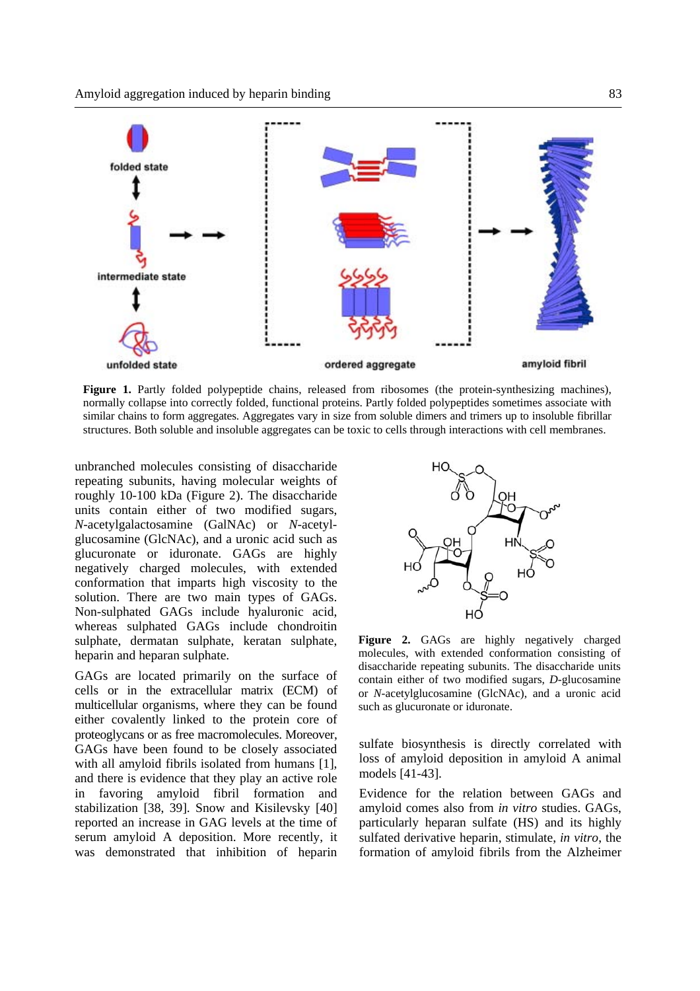

**Figure 1.** Partly folded polypeptide chains, released from ribosomes (the protein-synthesizing machines), normally collapse into correctly folded, functional proteins. Partly folded polypeptides sometimes associate with similar chains to form aggregates. Aggregates vary in size from soluble dimers and trimers up to insoluble fibrillar structures. Both soluble and insoluble aggregates can be toxic to cells through interactions with cell membranes.

unbranched molecules consisting of disaccharide repeating subunits, having molecular weights of roughly 10-100 kDa (Figure 2). The disaccharide units contain either of two modified sugars, *N*-acetylgalactosamine (GalNAc) or *N*-acetylglucosamine (GlcNAc), and a uronic acid such as glucuronate or iduronate. GAGs are highly negatively charged molecules, with extended conformation that imparts high viscosity to the solution. There are two main types of GAGs. Non-sulphated GAGs include hyaluronic acid, whereas sulphated GAGs include chondroitin sulphate, dermatan sulphate, keratan sulphate, heparin and heparan sulphate.

GAGs are located primarily on the surface of cells or in the extracellular matrix (ECM) of multicellular organisms, where they can be found either covalently linked to the protein core of proteoglycans or as free macromolecules. Moreover, GAGs have been found to be closely associated with all amyloid fibrils isolated from humans [1], and there is evidence that they play an active role in favoring amyloid fibril formation and stabilization [38, 39]. Snow and Kisilevsky [40] reported an increase in GAG levels at the time of serum amyloid A deposition. More recently, it was demonstrated that inhibition of heparin



Figure 2. GAGs are highly negatively charged molecules, with extended conformation consisting of disaccharide repeating subunits. The disaccharide units contain either of two modified sugars, *D*-glucosamine or *N*-acetylglucosamine (GlcNAc), and a uronic acid such as glucuronate or iduronate.

sulfate biosynthesis is directly correlated with loss of amyloid deposition in amyloid A animal models [41-43].

Evidence for the relation between GAGs and amyloid comes also from *in vitro* studies. GAGs, particularly heparan sulfate (HS) and its highly sulfated derivative heparin, stimulate, *in vitro*, the formation of amyloid fibrils from the Alzheimer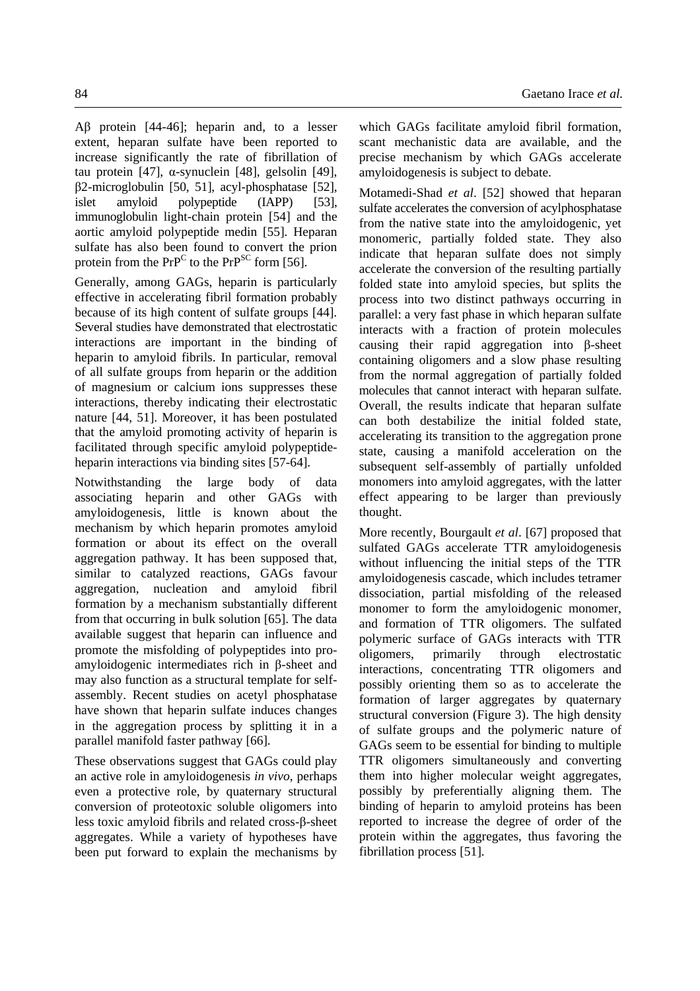Aβ protein [44-46]; heparin and, to a lesser extent, heparan sulfate have been reported to increase significantly the rate of fibrillation of tau protein [47], α-synuclein [48], gelsolin [49], β2-microglobulin [50, 51], acyl-phosphatase [52], islet amyloid polypeptide (IAPP) [53], immunoglobulin light-chain protein [54] and the aortic amyloid polypeptide medin [55]. Heparan sulfate has also been found to convert the prion protein from the  $PrP^C$  to the  $PrP^{SC}$  form [56].

Generally, among GAGs, heparin is particularly effective in accelerating fibril formation probably because of its high content of sulfate groups [44]. Several studies have demonstrated that electrostatic interactions are important in the binding of heparin to amyloid fibrils. In particular, removal of all sulfate groups from heparin or the addition of magnesium or calcium ions suppresses these interactions, thereby indicating their electrostatic nature [44, 51]. Moreover, it has been postulated that the amyloid promoting activity of heparin is facilitated through specific amyloid polypeptideheparin interactions via binding sites [57-64].

Notwithstanding the large body of data associating heparin and other GAGs with amyloidogenesis, little is known about the mechanism by which heparin promotes amyloid formation or about its effect on the overall aggregation pathway. It has been supposed that, similar to catalyzed reactions, GAGs favour aggregation, nucleation and amyloid fibril formation by a mechanism substantially different from that occurring in bulk solution [65]. The data available suggest that heparin can influence and promote the misfolding of polypeptides into proamyloidogenic intermediates rich in β-sheet and may also function as a structural template for selfassembly. Recent studies on acetyl phosphatase have shown that heparin sulfate induces changes in the aggregation process by splitting it in a parallel manifold faster pathway [66].

These observations suggest that GAGs could play an active role in amyloidogenesis *in vivo*, perhaps even a protective role, by quaternary structural conversion of proteotoxic soluble oligomers into less toxic amyloid fibrils and related cross-β-sheet aggregates. While a variety of hypotheses have been put forward to explain the mechanisms by which GAGs facilitate amyloid fibril formation, scant mechanistic data are available, and the precise mechanism by which GAGs accelerate amyloidogenesis is subject to debate.

Motamedi-Shad *et al*. [52] showed that heparan sulfate accelerates the conversion of acylphosphatase from the native state into the amyloidogenic, yet monomeric, partially folded state. They also indicate that heparan sulfate does not simply accelerate the conversion of the resulting partially folded state into amyloid species, but splits the process into two distinct pathways occurring in parallel: a very fast phase in which heparan sulfate interacts with a fraction of protein molecules causing their rapid aggregation into β-sheet containing oligomers and a slow phase resulting from the normal aggregation of partially folded molecules that cannot interact with heparan sulfate. Overall, the results indicate that heparan sulfate can both destabilize the initial folded state, accelerating its transition to the aggregation prone state, causing a manifold acceleration on the subsequent self-assembly of partially unfolded monomers into amyloid aggregates, with the latter effect appearing to be larger than previously thought.

More recently, Bourgault *et al*. [67] proposed that sulfated GAGs accelerate TTR amyloidogenesis without influencing the initial steps of the TTR amyloidogenesis cascade, which includes tetramer dissociation, partial misfolding of the released monomer to form the amyloidogenic monomer, and formation of TTR oligomers. The sulfated polymeric surface of GAGs interacts with TTR oligomers, primarily through electrostatic interactions, concentrating TTR oligomers and possibly orienting them so as to accelerate the formation of larger aggregates by quaternary structural conversion (Figure 3). The high density of sulfate groups and the polymeric nature of GAGs seem to be essential for binding to multiple TTR oligomers simultaneously and converting them into higher molecular weight aggregates, possibly by preferentially aligning them. The binding of heparin to amyloid proteins has been reported to increase the degree of order of the protein within the aggregates, thus favoring the fibrillation process [51].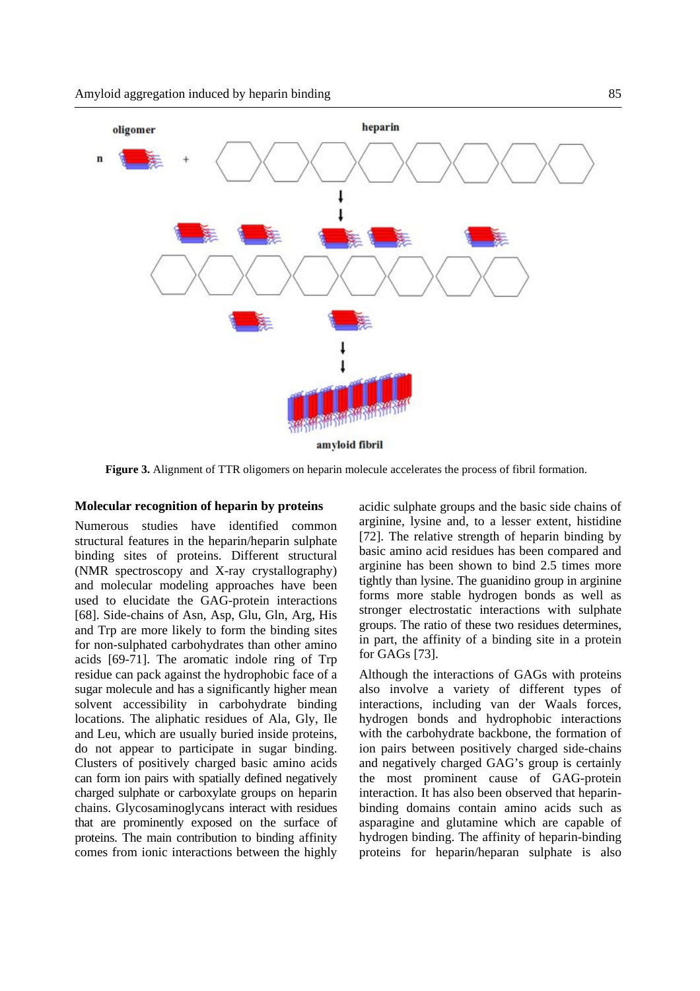

**Figure 3.** Alignment of TTR oligomers on heparin molecule accelerates the process of fibril formation.

### **Molecular recognition of heparin by proteins**

Numerous studies have identified common structural features in the heparin/heparin sulphate binding sites of proteins. Different structural (NMR spectroscopy and X-ray crystallography) and molecular modeling approaches have been used to elucidate the GAG-protein interactions [68]. Side-chains of Asn, Asp, Glu, Gln, Arg, His and Trp are more likely to form the binding sites for non-sulphated carbohydrates than other amino acids [69-71]. The aromatic indole ring of Trp residue can pack against the hydrophobic face of a sugar molecule and has a significantly higher mean solvent accessibility in carbohydrate binding locations. The aliphatic residues of Ala, Gly, Ile and Leu, which are usually buried inside proteins, do not appear to participate in sugar binding. Clusters of positively charged basic amino acids can form ion pairs with spatially defined negatively charged sulphate or carboxylate groups on heparin chains. Glycosaminoglycans interact with residues that are prominently exposed on the surface of proteins. The main contribution to binding affinity comes from ionic interactions between the highly

acidic sulphate groups and the basic side chains of arginine, lysine and, to a lesser extent, histidine [72]. The relative strength of heparin binding by basic amino acid residues has been compared and arginine has been shown to bind 2.5 times more tightly than lysine. The guanidino group in arginine forms more stable hydrogen bonds as well as stronger electrostatic interactions with sulphate groups. The ratio of these two residues determines, in part, the affinity of a binding site in a protein for GAGs [73].

Although the interactions of GAGs with proteins also involve a variety of different types of interactions, including van der Waals forces, hydrogen bonds and hydrophobic interactions with the carbohydrate backbone, the formation of ion pairs between positively charged side-chains and negatively charged GAG's group is certainly the most prominent cause of GAG-protein interaction. It has also been observed that heparinbinding domains contain amino acids such as asparagine and glutamine which are capable of hydrogen binding. The affinity of heparin-binding proteins for heparin/heparan sulphate is also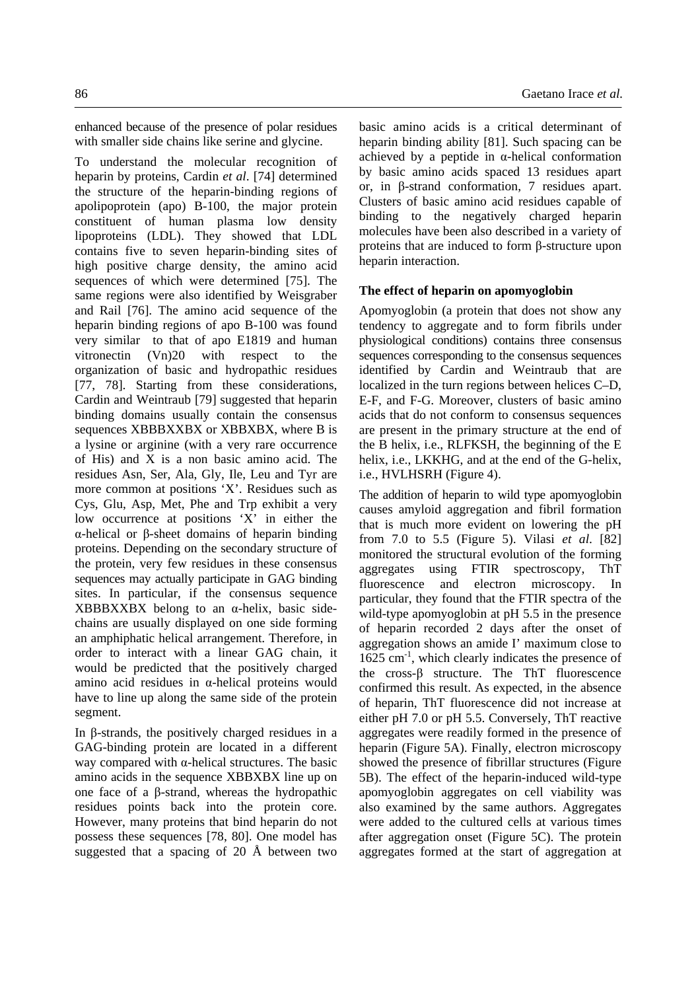enhanced because of the presence of polar residues with smaller side chains like serine and glycine.

To understand the molecular recognition of heparin by proteins, Cardin *et al*. [74] determined the structure of the heparin-binding regions of apolipoprotein (apo) B-100, the major protein constituent of human plasma low density lipoproteins (LDL). They showed that LDL contains five to seven heparin-binding sites of high positive charge density, the amino acid sequences of which were determined [75]. The same regions were also identified by Weisgraber and Rail [76]. The amino acid sequence of the heparin binding regions of apo B-100 was found very similar to that of apo E1819 and human vitronectin (Vn)20 with respect to the organization of basic and hydropathic residues [77, 78]. Starting from these considerations, Cardin and Weintraub [79] suggested that heparin binding domains usually contain the consensus sequences XBBBXXBX or XBBXBX, where B is a lysine or arginine (with a very rare occurrence of His) and X is a non basic amino acid. The residues Asn, Ser, Ala, Gly, Ile, Leu and Tyr are more common at positions 'X'. Residues such as Cys, Glu, Asp, Met, Phe and Trp exhibit a very low occurrence at positions 'X' in either the α-helical or β-sheet domains of heparin binding proteins. Depending on the secondary structure of the protein, very few residues in these consensus sequences may actually participate in GAG binding sites. In particular, if the consensus sequence XBBBXXBX belong to an α-helix, basic sidechains are usually displayed on one side forming an amphiphatic helical arrangement. Therefore, in order to interact with a linear GAG chain, it would be predicted that the positively charged amino acid residues in α-helical proteins would have to line up along the same side of the protein segment.

In β-strands, the positively charged residues in a GAG-binding protein are located in a different way compared with α-helical structures. The basic amino acids in the sequence XBBXBX line up on one face of a β-strand, whereas the hydropathic residues points back into the protein core. However, many proteins that bind heparin do not possess these sequences [78, 80]. One model has suggested that a spacing of 20  $\AA$  between two

basic amino acids is a critical determinant of heparin binding ability [81]. Such spacing can be achieved by a peptide in  $\alpha$ -helical conformation by basic amino acids spaced 13 residues apart or, in β-strand conformation, 7 residues apart. Clusters of basic amino acid residues capable of binding to the negatively charged heparin molecules have been also described in a variety of proteins that are induced to form β-structure upon heparin interaction.

# **The effect of heparin on apomyoglobin**

Apomyoglobin (a protein that does not show any tendency to aggregate and to form fibrils under physiological conditions) contains three consensus sequences corresponding to the consensus sequences identified by Cardin and Weintraub that are localized in the turn regions between helices C–D, E-F, and F-G. Moreover, clusters of basic amino acids that do not conform to consensus sequences are present in the primary structure at the end of the B helix, i.e., RLFKSH, the beginning of the E helix, i.e., LKKHG, and at the end of the G-helix, i.e., HVLHSRH (Figure 4).

The addition of heparin to wild type apomyoglobin causes amyloid aggregation and fibril formation that is much more evident on lowering the pH from 7.0 to 5.5 (Figure 5). Vilasi *et al*. [82] monitored the structural evolution of the forming aggregates using FTIR spectroscopy, ThT fluorescence and electron microscopy. In particular, they found that the FTIR spectra of the wild-type apomyoglobin at pH 5.5 in the presence of heparin recorded 2 days after the onset of aggregation shows an amide I' maximum close to  $1625$  cm<sup>-1</sup>, which clearly indicates the presence of the cross-β structure. The ThT fluorescence confirmed this result. As expected, in the absence of heparin, ThT fluorescence did not increase at either pH 7.0 or pH 5.5. Conversely, ThT reactive aggregates were readily formed in the presence of heparin (Figure 5A). Finally, electron microscopy showed the presence of fibrillar structures (Figure 5B). The effect of the heparin-induced wild-type apomyoglobin aggregates on cell viability was also examined by the same authors. Aggregates were added to the cultured cells at various times after aggregation onset (Figure 5C). The protein aggregates formed at the start of aggregation at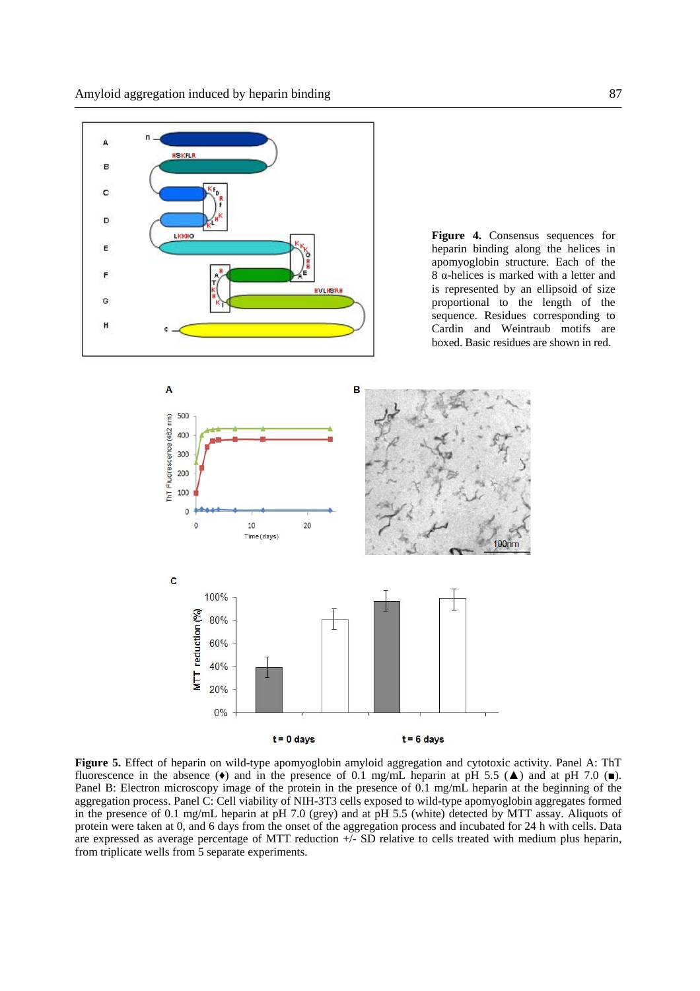

**Figure 4.** Consensus sequences for heparin binding along the helices in apomyoglobin structure. Each of the 8 α-helices is marked with a letter and is represented by an ellipsoid of size proportional to the length of the sequence. Residues corresponding to Cardin and Weintraub motifs are boxed. Basic residues are shown in red.



**Figure 5.** Effect of heparin on wild-type apomyoglobin amyloid aggregation and cytotoxic activity. Panel A: ThT fluorescence in the absence ( $\bullet$ ) and in the presence of 0.1 mg/mL heparin at pH 5.5 ( $\blacktriangle$ ) and at pH 7.0 ( $\blacksquare$ ). Panel B: Electron microscopy image of the protein in the presence of 0.1 mg/mL heparin at the beginning of the aggregation process. Panel C: Cell viability of NIH-3T3 cells exposed to wild-type apomyoglobin aggregates formed in the presence of 0.1 mg/mL heparin at pH 7.0 (grey) and at pH 5.5 (white) detected by MTT assay. Aliquots of protein were taken at 0, and 6 days from the onset of the aggregation process and incubated for 24 h with cells. Data are expressed as average percentage of MTT reduction  $+\sqrt{-}$  SD relative to cells treated with medium plus heparin, from triplicate wells from 5 separate experiments.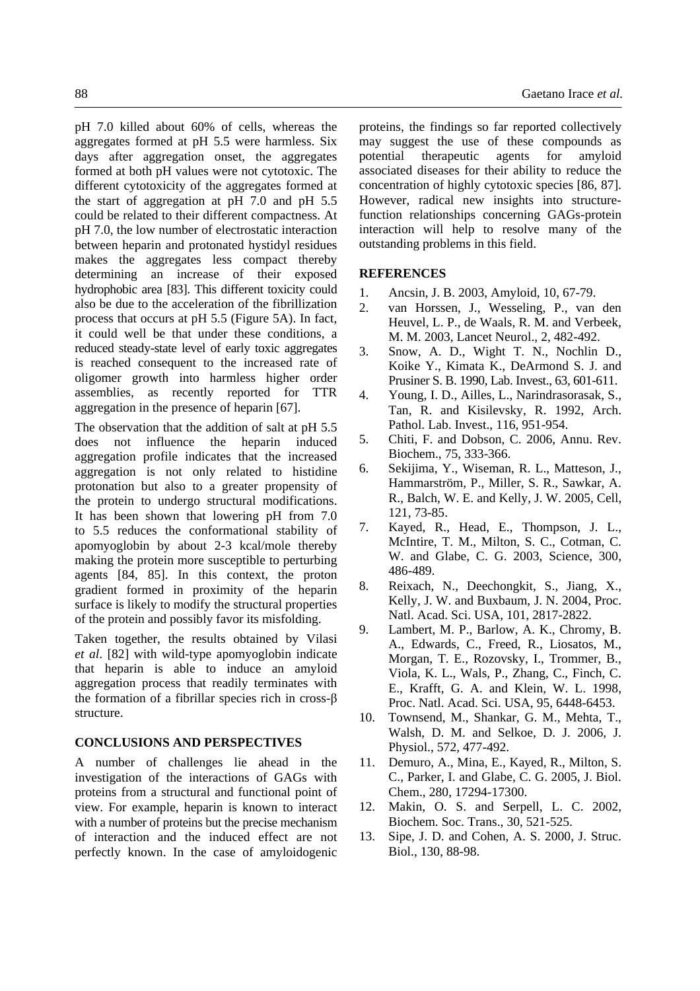pH 7.0 killed about 60% of cells, whereas the aggregates formed at pH 5.5 were harmless. Six days after aggregation onset, the aggregates formed at both pH values were not cytotoxic. The different cytotoxicity of the aggregates formed at the start of aggregation at pH 7.0 and pH 5.5 could be related to their different compactness. At pH 7.0, the low number of electrostatic interaction between heparin and protonated hystidyl residues makes the aggregates less compact thereby determining an increase of their exposed hydrophobic area [83]. This different toxicity could also be due to the acceleration of the fibrillization process that occurs at pH 5.5 (Figure 5A). In fact, it could well be that under these conditions, a reduced steady-state level of early toxic aggregates is reached consequent to the increased rate of oligomer growth into harmless higher order assemblies, as recently reported for TTR aggregation in the presence of heparin [67].

The observation that the addition of salt at pH 5.5 does not influence the heparin induced aggregation profile indicates that the increased aggregation is not only related to histidine protonation but also to a greater propensity of the protein to undergo structural modifications. It has been shown that lowering pH from 7.0 to 5.5 reduces the conformational stability of apomyoglobin by about 2-3 kcal/mole thereby making the protein more susceptible to perturbing agents [84, 85]. In this context, the proton gradient formed in proximity of the heparin surface is likely to modify the structural properties of the protein and possibly favor its misfolding.

Taken together, the results obtained by Vilasi *et al*. [82] with wild-type apomyoglobin indicate that heparin is able to induce an amyloid aggregation process that readily terminates with the formation of a fibrillar species rich in cross-β structure.

# **CONCLUSIONS AND PERSPECTIVES**

A number of challenges lie ahead in the investigation of the interactions of GAGs with proteins from a structural and functional point of view. For example, heparin is known to interact with a number of proteins but the precise mechanism of interaction and the induced effect are not perfectly known. In the case of amyloidogenic

proteins, the findings so far reported collectively may suggest the use of these compounds as potential therapeutic agents for amyloid associated diseases for their ability to reduce the concentration of highly cytotoxic species [86, 87]. However, radical new insights into structurefunction relationships concerning GAGs-protein interaction will help to resolve many of the outstanding problems in this field.

### **REFERENCES**

- 1. Ancsin, J. B. 2003, Amyloid, 10, 67-79.
- 2. van Horssen, J., Wesseling, P., van den Heuvel, L. P., de Waals, R. M. and Verbeek, M. M. 2003, Lancet Neurol., 2, 482-492.
- 3. Snow, A. D., Wight T. N., Nochlin D., Koike Y., Kimata K., DeArmond S. J. and Prusiner S. B. 1990, Lab. Invest., 63, 601-611.
- 4. Young, I. D., Ailles, L., Narindrasorasak, S., Tan, R. and Kisilevsky, R. 1992, Arch. Pathol. Lab. Invest., 116, 951-954.
- 5. Chiti, F. and Dobson, C. 2006, Annu. Rev. Biochem., 75, 333-366.
- 6. Sekijima, Y., Wiseman, R. L., Matteson, J., Hammarström, P., Miller, S. R., Sawkar, A. R., Balch, W. E. and Kelly, J. W. 2005, Cell, 121, 73-85.
- 7. Kayed, R., Head, E., Thompson, J. L., McIntire, T. M., Milton, S. C., Cotman, C. W. and Glabe, C. G. 2003, Science, 300, 486-489.
- 8. Reixach, N., Deechongkit, S., Jiang, X., Kelly, J. W. and Buxbaum, J. N. 2004, Proc. Natl. Acad. Sci. USA, 101, 2817-2822.
- 9. Lambert, M. P., Barlow, A. K., Chromy, B. A., Edwards, C., Freed, R., Liosatos, M., Morgan, T. E., Rozovsky, I., Trommer, B., Viola, K. L., Wals, P., Zhang, C., Finch, C. E., Krafft, G. A. and Klein, W. L. 1998, Proc. Natl. Acad. Sci. USA, 95, 6448-6453.
- 10. Townsend, M., Shankar, G. M., Mehta, T., Walsh, D. M. and Selkoe, D. J. 2006, J. Physiol., 572, 477-492.
- 11. Demuro, A., Mina, E., Kayed, R., Milton, S. C., Parker, I. and Glabe, C. G. 2005, J. Biol. Chem., 280, 17294-17300.
- 12. Makin, O. S. and Serpell, L. C. 2002, Biochem. Soc. Trans., 30, 521-525.
- 13. Sipe, J. D. and Cohen, A. S. 2000, J. Struc. Biol., 130, 88-98.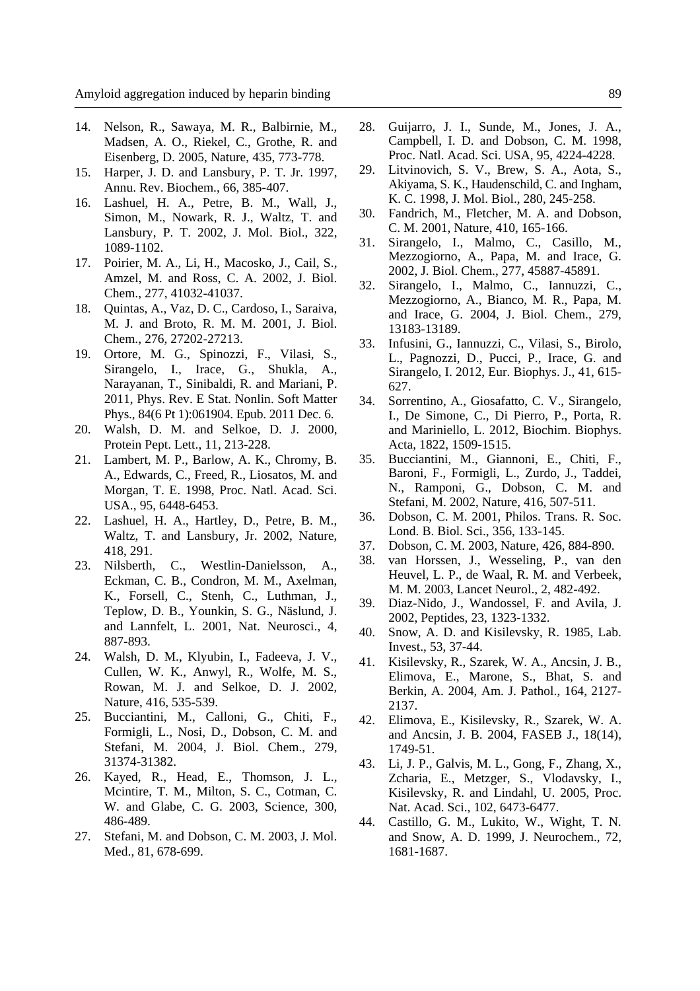- 14. Nelson, R., Sawaya, M. R., Balbirnie, M., Madsen, A. O., Riekel, C., Grothe, R. and Eisenberg, D. 2005, Nature, 435, 773-778.
- 15. Harper, J. D. and Lansbury, P. T. Jr. 1997, Annu. Rev. Biochem., 66, 385-407.
- 16. Lashuel, H. A., Petre, B. M., Wall, J., Simon, M., Nowark, R. J., Waltz, T. and Lansbury, P. T. 2002, J. Mol. Biol., 322, 1089-1102.
- 17. Poirier, M. A., Li, H., Macosko, J., Cail, S., Amzel, M. and Ross, C. A. 2002, J. Biol. Chem., 277, 41032-41037.
- 18. Quintas, A., Vaz, D. C., Cardoso, I., Saraiva, M. J. and Broto, R. M. M. 2001, J. Biol. Chem., 276, 27202-27213.
- 19. Ortore, M. G., Spinozzi, F., Vilasi, S., Sirangelo, I., Irace, G., Shukla, A., Narayanan, T., Sinibaldi, R. and Mariani, P. 2011, Phys. Rev. E Stat. Nonlin. Soft Matter Phys., 84(6 Pt 1):061904. Epub. 2011 Dec. 6.
- 20. Walsh, D. M. and Selkoe, D. J. 2000, Protein Pept. Lett., 11, 213-228.
- 21. Lambert, M. P., Barlow, A. K., Chromy, B. A., Edwards, C., Freed, R., Liosatos, M. and Morgan, T. E. 1998, Proc. Natl. Acad. Sci. USA., 95, 6448-6453.
- 22. Lashuel, H. A., Hartley, D., Petre, B. M., Waltz, T. and Lansbury, Jr. 2002, Nature, 418, 291.
- 23. Nilsberth, C., Westlin-Danielsson, A., Eckman, C. B., Condron, M. M., Axelman, K., Forsell, C., Stenh, C., Luthman, J., Teplow, D. B., Younkin, S. G., Näslund, J. and Lannfelt, L. 2001, Nat. Neurosci., 4, 887-893.
- 24. Walsh, D. M., Klyubin, I., Fadeeva, J. V., Cullen, W. K., Anwyl, R., Wolfe, M. S., Rowan, M. J. and Selkoe, D. J. 2002, Nature, 416, 535-539.
- 25. Bucciantini, M., Calloni, G., Chiti, F., Formigli, L., Nosi, D., Dobson, C. M. and Stefani, M. 2004, J. Biol. Chem., 279, 31374-31382.
- 26. Kayed, R., Head, E., Thomson, J. L., Mcintire, T. M., Milton, S. C., Cotman, C. W. and Glabe, C. G. 2003, Science, 300, 486-489.
- 27. Stefani, M. and Dobson, C. M. 2003, J. Mol. Med., 81, 678-699.
- 28. Guijarro, J. I., Sunde, M., Jones, J. A., Campbell, I. D. and Dobson, C. M. 1998, Proc. Natl. Acad. Sci. USA, 95, 4224-4228.
- 29. Litvinovich, S. V., Brew, S. A., Aota, S., Akiyama, S. K., Haudenschild, C. and Ingham, K. C. 1998, J. Mol. Biol., 280, 245-258.
- 30. Fandrich, M., Fletcher, M. A. and Dobson, C. M. 2001, Nature, 410, 165-166.
- 31. Sirangelo, I., Malmo, C., Casillo, M., Mezzogiorno, A., Papa, M. and Irace, G. 2002, J. Biol. Chem., 277, 45887-45891.
- 32. Sirangelo, I., Malmo, C., Iannuzzi, C., Mezzogiorno, A., Bianco, M. R., Papa, M. and Irace, G. 2004, J. Biol. Chem., 279, 13183-13189.
- 33. Infusini, G., Iannuzzi, C., Vilasi, S., Birolo, L., Pagnozzi, D., Pucci, P., Irace, G. and Sirangelo, I. 2012, Eur. Biophys. J., 41, 615- 627.
- 34. Sorrentino, A., Giosafatto, C. V., Sirangelo, I., De Simone, C., Di Pierro, P., Porta, R. and Mariniello, L. 2012, Biochim. Biophys. Acta, 1822, 1509-1515.
- 35. Bucciantini, M., Giannoni, E., Chiti, F., Baroni, F., Formigli, L., Zurdo, J., Taddei, N., Ramponi, G., Dobson, C. M. and Stefani, M. 2002, Nature, 416, 507-511.
- 36. Dobson, C. M. 2001, Philos. Trans. R. Soc. Lond. B. Biol. Sci., 356, 133-145.
- 37. Dobson, C. M. 2003, Nature, 426, 884-890.
- 38. van Horssen, J., Wesseling, P., van den Heuvel, L. P., de Waal, R. M. and Verbeek, M. M. 2003, Lancet Neurol., 2, 482-492.
- 39. Diaz-Nido, J., Wandossel, F. and Avila, J. 2002, Peptides, 23, 1323-1332.
- 40. Snow, A. D. and Kisilevsky, R. 1985, Lab. Invest., 53, 37-44.
- 41. Kisilevsky, R., Szarek, W. A., Ancsin, J. B., Elimova, E., Marone, S., Bhat, S. and Berkin, A. 2004, Am. J. Pathol., 164, 2127- 2137.
- 42. Elimova, E., Kisilevsky, R., Szarek, W. A. and Ancsin, J. B. 2004, FASEB J., 18(14), 1749-51.
- 43. Li, J. P., Galvis, M. L., Gong, F., Zhang, X., Zcharia, E., Metzger, S., Vlodavsky, I., Kisilevsky, R. and Lindahl, U. 2005, Proc. Nat. Acad. Sci., 102, 6473-6477.
- 44. Castillo, G. M., Lukito, W., Wight, T. N. and Snow, A. D. 1999, J. Neurochem., 72, 1681-1687.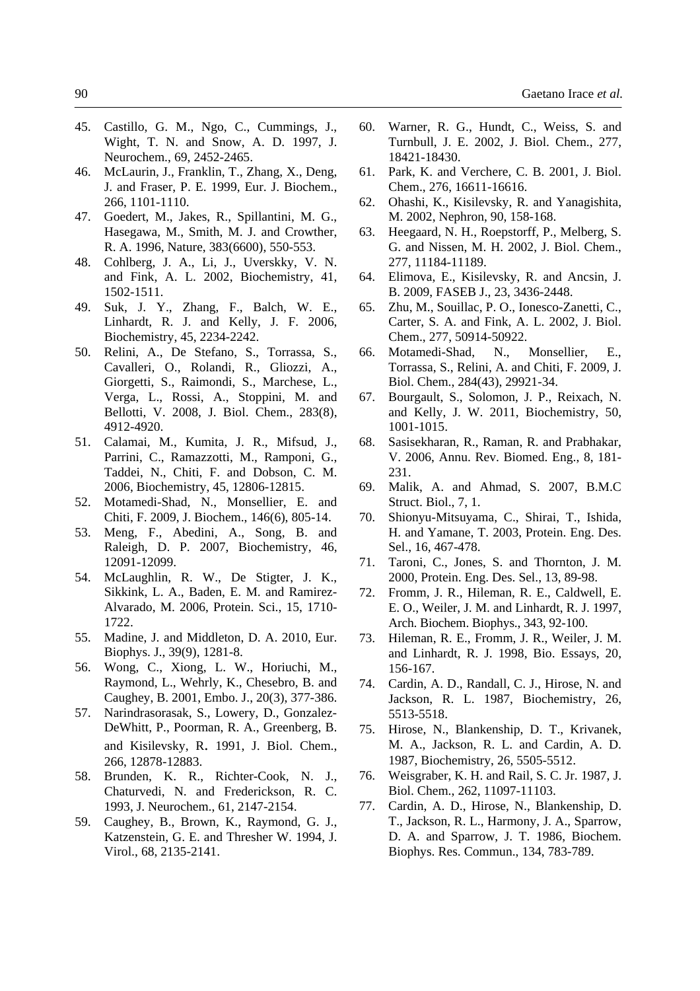- 45. Castillo, G. M., Ngo, C., Cummings, J., Wight, T. N. and Snow, A. D. 1997, J. Neurochem., 69, 2452-2465.
- 46. McLaurin, J., Franklin, T., Zhang, X., Deng, J. and Fraser, P. E. 1999, Eur. J. Biochem., 266, 1101-1110.
- 47. Goedert, M., Jakes, R., Spillantini, M. G., Hasegawa, M., Smith, M. J. and Crowther, R. A. 1996, Nature, 383(6600), 550-553.
- 48. Cohlberg, J. A., Li, J., Uverskky, V. N. and Fink, A. L. 2002, Biochemistry, 41, 1502-1511.
- 49. Suk, J. Y., Zhang, F., Balch, W. E., Linhardt, R. J. and Kelly, J. F. 2006, Biochemistry, 45, 2234-2242.
- 50. Relini, A., De Stefano, S., Torrassa, S., Cavalleri, O., Rolandi, R., Gliozzi, A., Giorgetti, S., Raimondi, S., Marchese, L., Verga, L., Rossi, A., Stoppini, M. and Bellotti, V. 2008, J. Biol. Chem., 283(8), 4912-4920.
- 51. Calamai, M., Kumita, J. R., Mifsud, J., Parrini, C., Ramazzotti, M., Ramponi, G., Taddei, N., Chiti, F. and Dobson, C. M. 2006, Biochemistry, 45, 12806-12815.
- 52. Motamedi-Shad, N., Monsellier, E. and Chiti, F. 2009, J. Biochem., 146(6), 805-14.
- 53. Meng, F., Abedini, A., Song, B. and Raleigh, D. P. 2007, Biochemistry, 46, 12091-12099.
- 54. McLaughlin, R. W., De Stigter, J. K., Sikkink, L. A., Baden, E. M. and Ramirez-Alvarado, M. 2006, Protein. Sci., 15, 1710- 1722.
- 55. Madine, J. and Middleton, D. A. 2010, Eur. Biophys. J., 39(9), 1281-8.
- 56. Wong, C., Xiong, L. W., Horiuchi, M., Raymond, L., Wehrly, K., Chesebro, B. and Caughey, B. 2001, Embo. J., 20(3), 377-386.
- 57. Narindrasorasak, S., Lowery, D., Gonzalez-DeWhitt, P., Poorman, R. A., Greenberg, B. and Kisilevsky, R. 1991, J. Biol. Chem., 266, 12878-12883.
- 58. Brunden, K. R., Richter-Cook, N. J., Chaturvedi, N. and Frederickson, R. C. 1993, J. Neurochem., 61, 2147-2154.
- 59. Caughey, B., Brown, K., Raymond, G. J., Katzenstein, G. E. and Thresher W. 1994, J. Virol., 68, 2135-2141.
- 60. Warner, R. G., Hundt, C., Weiss, S. and Turnbull, J. E. 2002, J. Biol. Chem., 277, 18421-18430.
- 61. Park, K. and Verchere, C. B. 2001, J. Biol. Chem., 276, 16611-16616.
- 62. Ohashi, K., Kisilevsky, R. and Yanagishita, M. 2002, Nephron, 90, 158-168.
- 63. Heegaard, N. H., Roepstorff, P., Melberg, S. G. and Nissen, M. H. 2002, J. Biol. Chem., 277, 11184-11189.
- 64. Elimova, E., Kisilevsky, R. and Ancsin, J. B. 2009, FASEB J., 23, 3436-2448.
- 65. Zhu, M., Souillac, P. O., Ionesco-Zanetti, C., Carter, S. A. and Fink, A. L. 2002, J. Biol. Chem., 277, 50914-50922.
- 66. Motamedi-Shad, N., Monsellier, E., Torrassa, S., Relini, A. and Chiti, F. 2009, J. Biol. Chem., 284(43), 29921-34.
- 67. Bourgault, S., Solomon, J. P., Reixach, N. and Kelly, J. W. 2011, Biochemistry, 50, 1001-1015.
- 68. Sasisekharan, R., Raman, R. and Prabhakar, V. 2006, Annu. Rev. Biomed. Eng., 8, 181- 231.
- 69. Malik, A. and Ahmad, S. 2007, B.M.C Struct. Biol., 7, 1.
- 70. Shionyu-Mitsuyama, C., Shirai, T., Ishida, H. and Yamane, T. 2003, Protein. Eng. Des. Sel., 16, 467-478.
- 71. Taroni, C., Jones, S. and Thornton, J. M. 2000, Protein. Eng. Des. Sel., 13, 89-98.
- 72. Fromm, J. R., Hileman, R. E., Caldwell, E. E. O., Weiler, J. M. and Linhardt, R. J. 1997, Arch. Biochem. Biophys., 343, 92-100.
- 73. Hileman, R. E., Fromm, J. R., Weiler, J. M. and Linhardt, R. J. 1998, Bio. Essays, 20, 156-167.
- 74. Cardin, A. D., Randall, C. J., Hirose, N. and Jackson, R. L. 1987, Biochemistry, 26, 5513-5518.
- 75. Hirose, N., Blankenship, D. T., Krivanek, M. A., Jackson, R. L. and Cardin, A. D. 1987, Biochemistry, 26, 5505-5512.
- 76. Weisgraber, K. H. and Rail, S. C. Jr. 1987, J. Biol. Chem., 262, 11097-11103.
- 77. Cardin, A. D., Hirose, N., Blankenship, D. T., Jackson, R. L., Harmony, J. A., Sparrow, D. A. and Sparrow, J. T. 1986, Biochem. Biophys. Res. Commun., 134, 783-789.